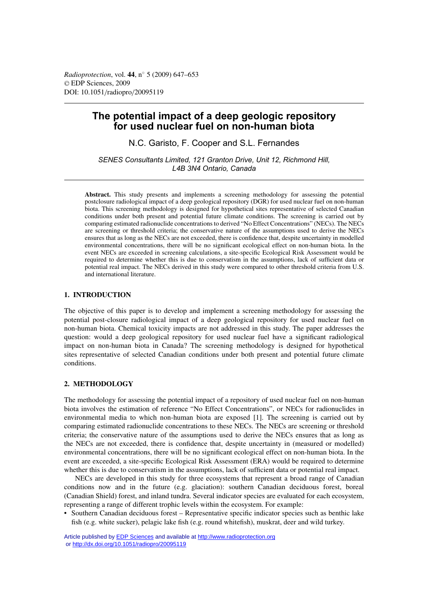# **The potential impact of a deep geologic repository for used nuclear fuel on non-human biota**

N.C. Garisto, F. Cooper and S.L. Fernandes

*SENES Consultants Limited, 121 Granton Drive, Unit 12, Richmond Hill, L4B 3N4 Ontario, Canada*

**Abstract.** This study presents and implements a screening methodology for assessing the potential postclosure radiological impact of a deep geological repository (DGR) for used nuclear fuel on non-human biota. This screening methodology is designed for hypothetical sites representative of selected Canadian conditions under both present and potential future climate conditions. The screening is carried out by comparing estimated radionuclide concentrations to derived "No Effect Concentrations" (NECs). The NECs are screening or threshold criteria; the conservative nature of the assumptions used to derive the NECs ensures that as long as the NECs are not exceeded, there is confidence that, despite uncertainty in modelled environmental concentrations, there will be no significant ecological effect on non-human biota. In the event NECs are exceeded in screening calculations, a site-specific Ecological Risk Assessment would be required to determine whether this is due to conservatism in the assumptions, lack of sufficient data or potential real impact. The NECs derived in this study were compared to other threshold criteria from U.S. and international literature.

# **1. INTRODUCTION**

The objective of this paper is to develop and implement a screening methodology for assessing the potential post-closure radiological impact of a deep geological repository for used nuclear fuel on non-human biota. Chemical toxicity impacts are not addressed in this study. The paper addresses the question: would a deep geological repository for used nuclear fuel have a significant radiological impact on non-human biota in Canada? The screening methodology is designed for hypothetical sites representative of selected Canadian conditions under both present and potential future climate conditions.

# **2. METHODOLOGY**

The methodology for assessing the potential impact of a repository of used nuclear fuel on non-human biota involves the estimation of reference "No Effect Concentrations", or NECs for radionuclides in environmental media to which non-human biota are exposed [1]. The screening is carried out by comparing estimated radionuclide concentrations to these NECs. The NECs are screening or threshold criteria; the conservative nature of the assumptions used to derive the NECs ensures that as long as the NECs are not exceeded, there is confidence that, despite uncertainty in (measured or modelled) environmental concentrations, there will be no significant ecological effect on non-human biota. In the event are exceeded, a site-specific Ecological Risk Assessment (ERA) would be required to determine whether this is due to conservatism in the assumptions, lack of sufficient data or potential real impact.

NECs are developed in this study for three ecosystems that represent a broad range of Canadian conditions now and in the future (e.g. glaciation): southern Canadian deciduous forest, boreal (Canadian Shield) forest, and inland tundra. Several indicator species are evaluated for each ecosystem, representing a range of different trophic levels within the ecosystem. For example:

• Southern Canadian deciduous forest – Representative specific indicator species such as benthic lake fish (e.g. white sucker), pelagic lake fish (e.g. round whitefish), muskrat, deer and wild turkey.

Article published by [EDP Sciences](http://www.edpsciences.org) and available at<http://www.radioprotection.org> or <http://dx.doi.org/10.1051/radiopro/20095119>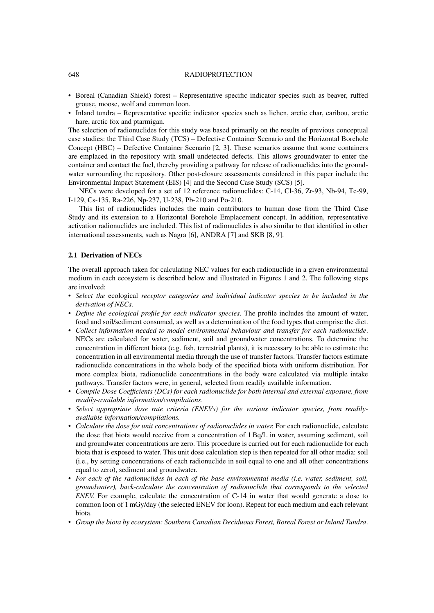#### 648 RADIOPROTECTION

- Boreal (Canadian Shield) forest Representative specific indicator species such as beaver, ruffed grouse, moose, wolf and common loon.
- Inland tundra Representative specific indicator species such as lichen, arctic char, caribou, arctic hare, arctic fox and ptarmigan.

The selection of radionuclides for this study was based primarily on the results of previous conceptual case studies: the Third Case Study (TCS) – Defective Container Scenario and the Horizontal Borehole Concept (HBC) – Defective Container Scenario [2, 3]. These scenarios assume that some containers are emplaced in the repository with small undetected defects. This allows groundwater to enter the container and contact the fuel, thereby providing a pathway for release of radionuclides into the groundwater surrounding the repository. Other post-closure assessments considered in this paper include the Environmental Impact Statement (EIS) [4] and the Second Case Study (SCS) [5].

NECs were developed for a set of 12 reference radionuclides: C-14, Cl-36, Zr-93, Nb-94, Tc-99, I-129, Cs-135, Ra-226, Np-237, U-238, Pb-210 and Po-210.

This list of radionuclides includes the main contributors to human dose from the Third Case Study and its extension to a Horizontal Borehole Emplacement concept. In addition, representative activation radionuclides are included. This list of radionuclides is also similar to that identified in other international assessments, such as Nagra [6], ANDRA [7] and SKB [8, 9].

# **2.1 Derivation of NECs**

The overall approach taken for calculating NEC values for each radionuclide in a given environmental medium in each ecosystem is described below and illustrated in Figures 1 and 2. The following steps are involved:

- *Select the* ecological *receptor categories and individual indicator species to be included in the derivation of NECs.*
- *Define the ecological profile for each indicator species*. The profile includes the amount of water, food and soil/sediment consumed, as well as a determination of the food types that comprise the diet.
- *Collect information needed to model environmental behaviour and transfer for each radionuclide*. NECs are calculated for water, sediment, soil and groundwater concentrations. To determine the concentration in different biota (e.g. fish, terrestrial plants), it is necessary to be able to estimate the concentration in all environmental media through the use of transfer factors. Transfer factors estimate radionuclide concentrations in the whole body of the specified biota with uniform distribution. For more complex biota, radionuclide concentrations in the body were calculated via multiple intake pathways. Transfer factors were, in general, selected from readily available information.
- *Compile Dose Coefficients (DCs) for each radionuclide for both internal and external exposure, from readily-available information/compilations*.
- *Select appropriate dose rate criteria (ENEVs) for the various indicator species, from readilyavailable information/compilations.*
- *Calculate the dose for unit concentrations of radionuclides in water.* For each radionuclide, calculate the dose that biota would receive from a concentration of 1 Bq/L in water, assuming sediment, soil and groundwater concentrations are zero. This procedure is carried out for each radionuclide for each biota that is exposed to water. This unit dose calculation step is then repeated for all other media: soil (i.e., by setting concentrations of each radionuclide in soil equal to one and all other concentrations equal to zero), sediment and groundwater.
- *For each of the radionuclides in each of the base environmental media (i.e. water, sediment, soil, groundwater), back-calculate the concentration of radionuclide that corresponds to the selected ENEV.* For example, calculate the concentration of C-14 in water that would generate a dose to common loon of 1 mGy/day (the selected ENEV for loon). Repeat for each medium and each relevant biota.
- *Group the biota by ecosystem: Southern Canadian Deciduous Forest, Boreal Forest or Inland Tundra*.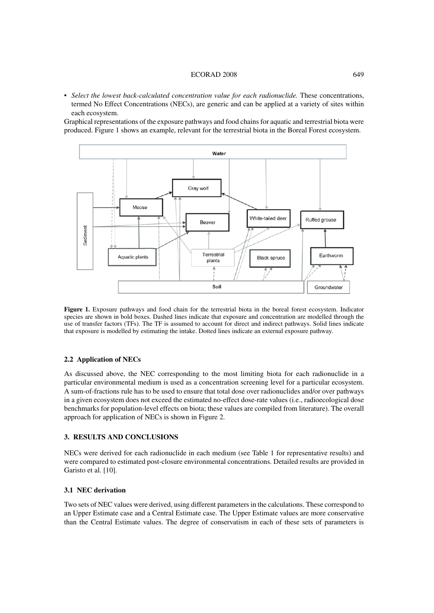#### ECORAD 2008 649

• *Select the lowest back-calculated concentration value for each radionuclide.* These concentrations, termed No Effect Concentrations (NECs), are generic and can be applied at a variety of sites within each ecosystem.

Graphical representations of the exposure pathways and food chains for aquatic and terrestrial biota were produced. Figure 1 shows an example, relevant for the terrestrial biota in the Boreal Forest ecosystem.



**Figure 1.** Exposure pathways and food chain for the terrestrial biota in the boreal forest ecosystem. Indicator species are shown in bold boxes. Dashed lines indicate that exposure and concentration are modelled through the use of transfer factors (TFs). The TF is assumed to account for direct and indirect pathways. Solid lines indicate that exposure is modelled by estimating the intake. Dotted lines indicate an external exposure pathway.

# **2.2 Application of NECs**

As discussed above, the NEC corresponding to the most limiting biota for each radionuclide in a particular environmental medium is used as a concentration screening level for a particular ecosystem. A sum-of-fractions rule has to be used to ensure that total dose over radionuclides and/or over pathways in a given ecosystem does not exceed the estimated no-effect dose-rate values (i.e., radioecological dose benchmarks for population-level effects on biota; these values are compiled from literature). The overall approach for application of NECs is shown in Figure 2.

# **3. RESULTS AND CONCLUSIONS**

NECs were derived for each radionuclide in each medium (see Table 1 for representative results) and were compared to estimated post-closure environmental concentrations. Detailed results are provided in Garisto et al. [10].

#### **3.1 NEC derivation**

Two sets of NEC values were derived, using different parameters in the calculations. These correspond to an Upper Estimate case and a Central Estimate case. The Upper Estimate values are more conservative than the Central Estimate values. The degree of conservatism in each of these sets of parameters is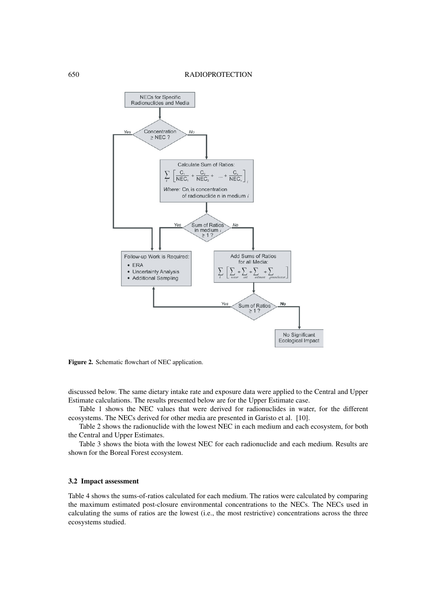

**Figure 2.** Schematic flowchart of NEC application.

discussed below. The same dietary intake rate and exposure data were applied to the Central and Upper Estimate calculations. The results presented below are for the Upper Estimate case.

Table 1 shows the NEC values that were derived for radionuclides in water, for the different ecosystems. The NECs derived for other media are presented in Garisto et al. [10].

Table 2 shows the radionuclide with the lowest NEC in each medium and each ecosystem, for both the Central and Upper Estimates.

Table 3 shows the biota with the lowest NEC for each radionuclide and each medium. Results are shown for the Boreal Forest ecosystem.

# **3.2 Impact assessment**

Table 4 shows the sums-of-ratios calculated for each medium. The ratios were calculated by comparing the maximum estimated post-closure environmental concentrations to the NECs. The NECs used in calculating the sums of ratios are the lowest (i.e., the most restrictive) concentrations across the three ecosystems studied.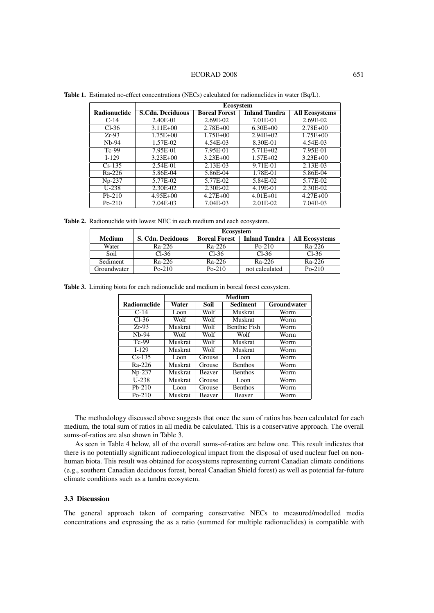#### ECORAD 2008 651

|                     | <b>Ecosystem</b>        |                      |                      |                       |  |
|---------------------|-------------------------|----------------------|----------------------|-----------------------|--|
| <b>Radionuclide</b> | <b>S.Cdn. Deciduous</b> | <b>Boreal Forest</b> | <b>Inland Tundra</b> | <b>All Ecosystems</b> |  |
| $C-14$              | 2.40E-01                | 2.69E-02             | 7.01E-01             | 2.69E-02              |  |
| $Cl-36$             | $3.11E + 00$            | $2.78E + 00$         | $6.30E + 00$         | $2.78E + 00$          |  |
| $Zr-93$             | $1.75E + 00$            | $1.75E + 00$         | $2.94E+02$           | $1.75E + 00$          |  |
| $Nh-94$             | 1.57E-02                | 4.54E-03             | 8.30E-01             | 4.54E-03              |  |
| $Tc-99$             | 7.95E-01                | 7.95E-01             | $5.71E + 02$         | 7.95E-01              |  |
| $I-129$             | $3.23E + 00$            | $3.23E + 00$         | $1.57E + 02$         | $3.23E + 00$          |  |
| $Cs-135$            | 2.54E-01                | 2.13E-03             | 9.71E-01             | 2.13E-03              |  |
| Ra-226              | 5.86E-04                | 5.86E-04             | 1.78E-01             | 5.86E-04              |  |
| $Np-237$            | 5.77E-02                | 5.77E-02             | 5.84E-02             | 5.77E-02              |  |
| $U-238$             | 2.30E-02                | 2.30E-02             | 4.19E-01             | 2.30E-02              |  |
| $Pb-210$            | $4.95E + 00$            | $4.27E + 00$         | $4.01E + 01$         | $4.27E + 00$          |  |
| $Po-210$            | 7.04E-03                | 7.04E-03             | 2.01E-02             | 7.04E-03              |  |

**Table 1.** Estimated no-effect concentrations (NECs) calculated for radionuclides in water (Bq/L).

**Table 2.** Radionuclide with lowest NEC in each medium and each ecosystem.

|               | <b>Ecosystem</b>  |                      |                      |                       |  |
|---------------|-------------------|----------------------|----------------------|-----------------------|--|
| <b>Medium</b> | S. Cdn. Deciduous | <b>Boreal Forest</b> | <b>Inland Tundra</b> | <b>All Ecosystems</b> |  |
| Water         | Ra-226            | Ra-226               | $Po-210$             | Ra-226                |  |
| Soil          | $Cl-36$           | $Cl-36$              | $Cl-36$              | $Cl-36$               |  |
| Sediment      | Ra-226            | Ra-226               | Ra-226               | Ra-226                |  |
| Groundwater   | $Po-210$          | $Po-210$             | not calculated       | $Po-210$              |  |

**Table 3.** Limiting biota for each radionuclide and medium in boreal forest ecosystem.

|                     | <b>Medium</b> |               |                     |             |
|---------------------|---------------|---------------|---------------------|-------------|
| <b>Radionuclide</b> | Water         | Soil          | Sediment            | Groundwater |
| $C-14$              | Loon          | Wolf          | <b>Muskrat</b>      | Worm        |
| $Cl-36$             | Wolf          | Wolf          | <b>Muskrat</b>      | Worm        |
| $Zr-93$             | Muskrat       | Wolf          | <b>Benthic Fish</b> | Worm        |
| N <sub>b</sub> -94  | Wolf          | Wolf          | Wolf                | Worm        |
| $Tc-99$             | Muskrat       | Wolf          | <b>Muskrat</b>      | Worm        |
| $I-129$             | Muskrat       | Wolf          | <b>Muskrat</b>      | Worm        |
| $Cs-135$            | Loon          | Grouse        | Loon                | Worm        |
| Ra-226              | Muskrat       | Grouse        | <b>Benthos</b>      | Worm        |
| Np-237              | Muskrat       | <b>Beaver</b> | <b>Benthos</b>      | Worm        |
| $U-238$             | Muskrat       | Grouse        | Loon                | Worm        |
| $Pb-210$            | Loon          | Grouse        | <b>Benthos</b>      | Worm        |
| $Po-210$            | Muskrat       | Beaver        | <b>Beaver</b>       | Worm        |

The methodology discussed above suggests that once the sum of ratios has been calculated for each medium, the total sum of ratios in all media be calculated. This is a conservative approach. The overall sums-of-ratios are also shown in Table 3.

As seen in Table 4 below, all of the overall sums-of-ratios are below one. This result indicates that there is no potentially significant radioecological impact from the disposal of used nuclear fuel on nonhuman biota. This result was obtained for ecosystems representing current Canadian climate conditions (e.g., southern Canadian deciduous forest, boreal Canadian Shield forest) as well as potential far-future climate conditions such as a tundra ecosystem.

## **3.3 Discussion**

The general approach taken of comparing conservative NECs to measured/modelled media concentrations and expressing the as a ratio (summed for multiple radionuclides) is compatible with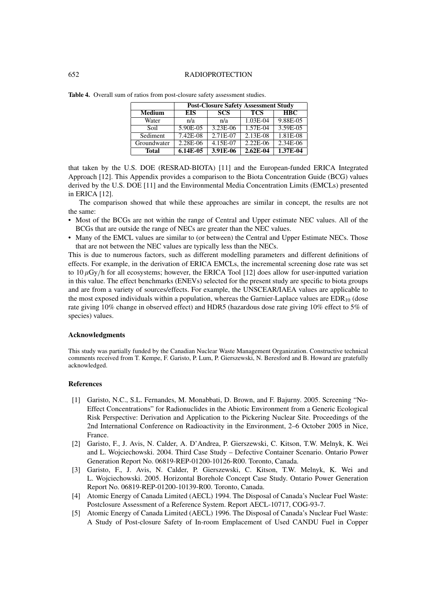#### 652 RADIOPROTECTION

|               | <b>Post-Closure Safety Assessment Study</b> |            |              |            |
|---------------|---------------------------------------------|------------|--------------|------------|
| <b>Medium</b> | <b>EIS</b>                                  | <b>SCS</b> | <b>TCS</b>   | <b>HBC</b> |
| Water         | n/a                                         | n/a        | $1.03E-04$   | 9.88E-05   |
| Soil          | $5.90E-05$                                  | $3.23E-06$ | $1.57E-04$   | $3.59E-05$ |
| Sediment      | $7.42E-08$                                  | $2.71E-07$ | $2.13E-08$   | $1.81E-08$ |
| Groundwater   | $2.28E-06$                                  | 4.15E-07   | $2.22E-06$   | $2.34E-06$ |
| <b>Total</b>  | $6.14E-0.5$                                 | 3.91E-06   | $2.62E - 04$ | 1.37E-04   |

**Table 4.** Overall sum of ratios from post-closure safety assessment studies.

that taken by the U.S. DOE (RESRAD-BIOTA) [11] and the European-funded ERICA Integrated Approach [12]. This Appendix provides a comparison to the Biota Concentration Guide (BCG) values derived by the U.S. DOE [11] and the Environmental Media Concentration Limits (EMCLs) presented in ERICA [12].

The comparison showed that while these approaches are similar in concept, the results are not the same:

- Most of the BCGs are not within the range of Central and Upper estimate NEC values. All of the BCGs that are outside the range of NECs are greater than the NEC values.
- Many of the EMCL values are similar to (or between) the Central and Upper Estimate NECs. Those that are not between the NEC values are typically less than the NECs.

This is due to numerous factors, such as different modelling parameters and different definitions of effects. For example, in the derivation of ERICA EMCLs, the incremental screening dose rate was set to  $10 \mu Gy/h$  for all ecosystems; however, the ERICA Tool [12] does allow for user-inputted variation in this value. The effect benchmarks (ENEVs) selected for the present study are specific to biota groups and are from a variety of sources/effects. For example, the UNSCEAR/IAEA values are applicable to the most exposed individuals within a population, whereas the Garnier-Laplace values are  $EDR_{10}$  (dose rate giving 10% change in observed effect) and HDR5 (hazardous dose rate giving 10% effect to 5% of species) values.

# **Acknowledgments**

This study was partially funded by the Canadian Nuclear Waste Management Organization. Constructive technical comments received from T. Kempe, F. Garisto, P. Lum, P. Gierszewski, N. Beresford and B. Howard are gratefully acknowledged.

#### **References**

- [1] Garisto, N.C., S.L. Fernandes, M. Monabbati, D. Brown, and F. Bajurny. 2005. Screening "No-Effect Concentrations" for Radionuclides in the Abiotic Environment from a Generic Ecological Risk Perspective: Derivation and Application to the Pickering Nuclear Site. Proceedings of the 2nd International Conference on Radioactivity in the Environment, 2–6 October 2005 in Nice, France.
- [2] Garisto, F., J. Avis, N. Calder, A. D'Andrea, P. Gierszewski, C. Kitson, T.W. Melnyk, K. Wei and L. Wojciechowski. 2004. Third Case Study – Defective Container Scenario. Ontario Power Generation Report No. 06819-REP-01200-10126-R00. Toronto, Canada.
- [3] Garisto, F., J. Avis, N. Calder, P. Gierszewski, C. Kitson, T.W. Melnyk, K. Wei and L. Wojciechowski. 2005. Horizontal Borehole Concept Case Study. Ontario Power Generation Report No. 06819-REP-01200-10139-R00. Toronto, Canada.
- [4] Atomic Energy of Canada Limited (AECL) 1994. The Disposal of Canada's Nuclear Fuel Waste: Postclosure Assessment of a Reference System. Report AECL-10717, COG-93-7.
- [5] Atomic Energy of Canada Limited (AECL) 1996. The Disposal of Canada's Nuclear Fuel Waste: A Study of Post-closure Safety of In-room Emplacement of Used CANDU Fuel in Copper